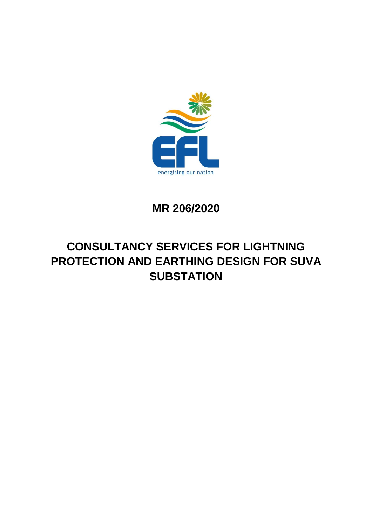

**MR 206/2020**

# **CONSULTANCY SERVICES FOR LIGHTNING PROTECTION AND EARTHING DESIGN FOR SUVA SUBSTATION**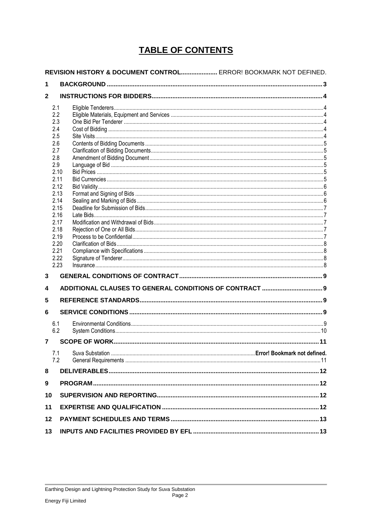# **TABLE OF CONTENTS**

|                | REVISION HISTORY & DOCUMENT CONTROL ERROR! BOOKMARK NOT DEFINED. |  |  |
|----------------|------------------------------------------------------------------|--|--|
| 1              |                                                                  |  |  |
| $\mathbf{2}$   |                                                                  |  |  |
|                | 2.1                                                              |  |  |
|                | 2.2                                                              |  |  |
|                | 2.3                                                              |  |  |
|                | 2.4<br>2.5                                                       |  |  |
|                | 2.6                                                              |  |  |
|                | 2.7                                                              |  |  |
|                | 2.8                                                              |  |  |
|                | 2.9                                                              |  |  |
|                | 2.10                                                             |  |  |
|                | 2.11                                                             |  |  |
|                | 2.12                                                             |  |  |
|                | 2.13<br>2.14                                                     |  |  |
|                | 2.15                                                             |  |  |
|                | 2.16                                                             |  |  |
|                | 2.17                                                             |  |  |
|                | 2.18                                                             |  |  |
|                | 2.19                                                             |  |  |
|                | 2.20                                                             |  |  |
|                | 2.21                                                             |  |  |
|                | 2.22<br>2.23                                                     |  |  |
| 3              |                                                                  |  |  |
|                |                                                                  |  |  |
| 4              |                                                                  |  |  |
| 5              |                                                                  |  |  |
| 6              |                                                                  |  |  |
|                | 6.1                                                              |  |  |
|                | 6.2                                                              |  |  |
| $\overline{7}$ |                                                                  |  |  |
|                | 7.1                                                              |  |  |
|                | 7.2                                                              |  |  |
| 8              |                                                                  |  |  |
| 9              |                                                                  |  |  |
| 10             |                                                                  |  |  |
| 11             |                                                                  |  |  |
| 12             |                                                                  |  |  |
| 13             |                                                                  |  |  |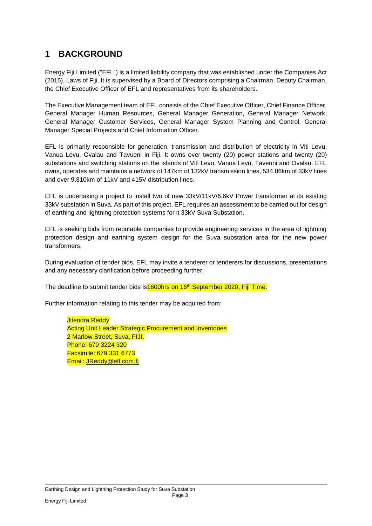## <span id="page-2-0"></span>**1 BACKGROUND**

Energy Fiji Limited ("EFL") is a limited liability company that was established under the Companies Act (2015), Laws of Fiji. It is supervised by a Board of Directors comprising a Chairman, Deputy Chairman, the Chief Executive Officer of EFL and representatives from its shareholders.

The Executive Management team of EFL consists of the Chief Executive Officer, Chief Finance Officer, General Manager Human Resources, General Manager Generation, General Manager Network, General Manager Customer Services, General Manager System Planning and Control, General Manager Special Projects and Chief Information Officer.

EFL is primarily responsible for generation, transmission and distribution of electricity in Viti Levu, Vanua Levu, Ovalau and Tavueni in Fiji. It owns over twenty (20) power stations and twenty (20) substations and switching stations on the islands of Viti Levu, Vanua Levu, Taveuni and Ovalau. EFL owns, operates and maintains a network of 147km of 132kV transmission lines, 534.86km of 33kV lines and over 9,810km of 11kV and 415V distribution lines.

EFL is undertaking a project to install two of new 33kV/11kV/6.6kV Power transformer at its existing 33kV substation in Suva. As part of this project, EFL requires an assessment to be carried out for design of earthing and lightning protection systems for it 33kV Suva Substation.

EFL is seeking bids from reputable companies to provide engineering services in the area of lightning protection design and earthing system design for the Suva substation area for the new power transformers.

During evaluation of tender bids, EFL may invite a tenderer or tenderers for discussions, presentations and any necessary clarification before proceeding further.

The deadline to submit tender bids is **1600hrs on 16<sup>th</sup> September 2020, Fiji Time.** 

Further information relating to this tender may be acquired from:

Jitendra Reddy **Acting Unit Leader Strategic Procurement and Inventories** 2 Marlow Street, Suva, FIJI. Phone: 679 3224 320 Facsimile: 679 331 6773 Email: [JReddy@efl.com.fj](mailto:JReddy@efl.com.fj)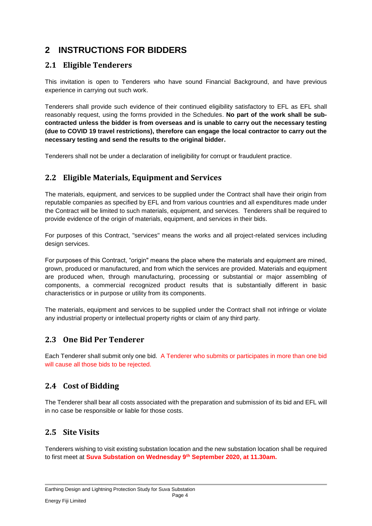# <span id="page-3-0"></span>**2 INSTRUCTIONS FOR BIDDERS**

#### <span id="page-3-1"></span>**2.1 Eligible Tenderers**

This invitation is open to Tenderers who have sound Financial Background, and have previous experience in carrying out such work.

Tenderers shall provide such evidence of their continued eligibility satisfactory to EFL as EFL shall reasonably request, using the forms provided in the Schedules. **No part of the work shall be subcontracted unless the bidder is from overseas and is unable to carry out the necessary testing (due to COVID 19 travel restrictions), therefore can engage the local contractor to carry out the necessary testing and send the results to the original bidder.**

Tenderers shall not be under a declaration of ineligibility for corrupt or fraudulent practice.

#### <span id="page-3-2"></span>**2.2 Eligible Materials, Equipment and Services**

The materials, equipment, and services to be supplied under the Contract shall have their origin from reputable companies as specified by EFL and from various countries and all expenditures made under the Contract will be limited to such materials, equipment, and services. Tenderers shall be required to provide evidence of the origin of materials, equipment, and services in their bids.

For purposes of this Contract, "services" means the works and all project-related services including design services.

For purposes of this Contract, "origin" means the place where the materials and equipment are mined, grown, produced or manufactured, and from which the services are provided. Materials and equipment are produced when, through manufacturing, processing or substantial or major assembling of components, a commercial recognized product results that is substantially different in basic characteristics or in purpose or utility from its components.

The materials, equipment and services to be supplied under the Contract shall not infringe or violate any industrial property or intellectual property rights or claim of any third party.

#### <span id="page-3-3"></span>**2.3 One Bid Per Tenderer**

Each Tenderer shall submit only one bid. A Tenderer who submits or participates in more than one bid will cause all those bids to be rejected.

#### <span id="page-3-4"></span>**2.4 Cost of Bidding**

The Tenderer shall bear all costs associated with the preparation and submission of its bid and EFL will in no case be responsible or liable for those costs.

#### <span id="page-3-5"></span>**2.5 Site Visits**

Tenderers wishing to visit existing substation location and the new substation location shall be required to first meet at **Suva Substation on Wednesday 9th September 2020, at 11.30am.**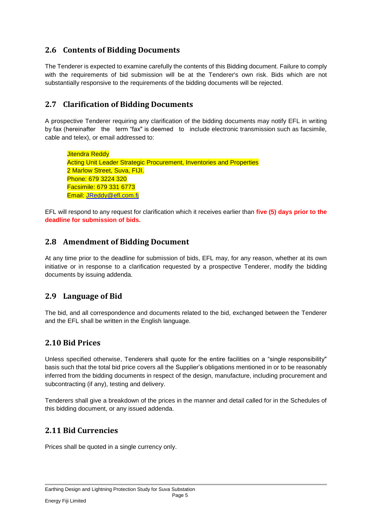#### <span id="page-4-0"></span>**2.6 Contents of Bidding Documents**

The Tenderer is expected to examine carefully the contents of this Bidding document. Failure to comply with the requirements of bid submission will be at the Tenderer's own risk. Bids which are not substantially responsive to the requirements of the bidding documents will be rejected.

#### <span id="page-4-1"></span>**2.7 Clarification of Bidding Documents**

A prospective Tenderer requiring any clarification of the bidding documents may notify EFL in writing by fax (hereinafter the term "fax" is deemed to include electronic transmission such as facsimile, cable and telex), or email addressed to:

**Jitendra Reddy** Acting Unit Leader Strategic Procurement, Inventories and Properties 2 Marlow Street, Suva, FIJI. Phone: 679 3224 320 Facsimile: 679 331 6773 Email: [JReddy@efl.com.fj](mailto:JReddy@efl.com.fj)

EFL will respond to any request for clarification which it receives earlier than **five (5) days prior to the deadline for submission of bids.**

#### <span id="page-4-2"></span>**2.8 Amendment of Bidding Document**

At any time prior to the deadline for submission of bids, EFL may, for any reason, whether at its own initiative or in response to a clarification requested by a prospective Tenderer, modify the bidding documents by issuing addenda.

#### <span id="page-4-3"></span>**2.9 Language of Bid**

The bid, and all correspondence and documents related to the bid, exchanged between the Tenderer and the EFL shall be written in the English language.

#### <span id="page-4-4"></span>**2.10 Bid Prices**

Unless specified otherwise, Tenderers shall quote for the entire facilities on a "single responsibility" basis such that the total bid price covers all the Supplier's obligations mentioned in or to be reasonably inferred from the bidding documents in respect of the design, manufacture, including procurement and subcontracting (if any), testing and delivery.

Tenderers shall give a breakdown of the prices in the manner and detail called for in the Schedules of this bidding document, or any issued addenda.

#### <span id="page-4-5"></span>**2.11 Bid Currencies**

Prices shall be quoted in a single currency only.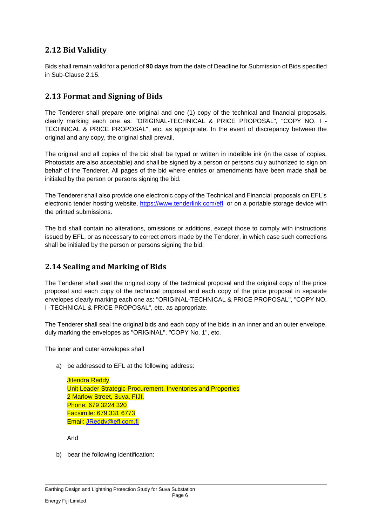#### <span id="page-5-0"></span>**2.12 Bid Validity**

Bids shall remain valid for a period of **90 days** from the date of Deadline for Submission of Bids specified in Sub-Clause 2.15.

#### <span id="page-5-1"></span>**2.13 Format and Signing of Bids**

The Tenderer shall prepare one original and one (1) copy of the technical and financial proposals, clearly marking each one as: "ORIGINAL-TECHNICAL & PRICE PROPOSAL", "COPY NO. I - TECHNICAL & PRICE PROPOSAL", etc. as appropriate. In the event of discrepancy between the original and any copy, the original shall prevail.

The original and all copies of the bid shall be typed or written in indelible ink (in the case of copies, Photostats are also acceptable) and shall be signed by a person or persons duly authorized to sign on behalf of the Tenderer. All pages of the bid where entries or amendments have been made shall be initialed by the person or persons signing the bid.

The Tenderer shall also provide one electronic copy of the Technical and Financial proposals on EFL's electronic tender hosting website,<https://www.tenderlink.com/efl> or on a portable storage device with the printed submissions.

The bid shall contain no alterations, omissions or additions, except those to comply with instructions issued by EFL, or as necessary to correct errors made by the Tenderer, in which case such corrections shall be initialed by the person or persons signing the bid.

#### <span id="page-5-2"></span>**2.14 Sealing and Marking of Bids**

The Tenderer shall seal the original copy of the technical proposal and the original copy of the price proposal and each copy of the technical proposal and each copy of the price proposal in separate envelopes clearly marking each one as: "ORIGINAL-TECHNICAL & PRICE PROPOSAL", "COPY NO. I -TECHNICAL & PRICE PROPOSAL", etc. as appropriate.

The Tenderer shall seal the original bids and each copy of the bids in an inner and an outer envelope, duly marking the envelopes as "ORIGINAL", "COPY No. 1", etc.

The inner and outer envelopes shall

a) be addressed to EFL at the following address:

Jitendra Reddy Unit Leader Strategic Procurement, Inventories and Properties 2 Marlow Street, Suva, FIJI. Phone: 679 3224 320 Facsimile: 679 331 6773 Email: [JReddy@efl.com.fj](mailto:JReddy@efl.com.fj)

And

b) bear the following identification: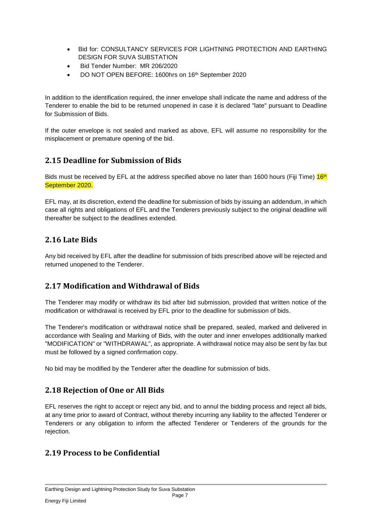- Bid for: CONSULTANCY SERVICES FOR LIGHTNING PROTECTION AND EARTHING DESIGN FOR SUVA SUBSTATION
- Bid Tender Number: MR 206/2020
- DO NOT OPEN BEFORE: 1600hrs on 16<sup>th</sup> September 2020

In addition to the identification required, the inner envelope shall indicate the name and address of the Tenderer to enable the bid to be returned unopened in case it is declared "late" pursuant to Deadline for Submission of Bids.

If the outer envelope is not sealed and marked as above, EFL will assume no responsibility for the misplacement or premature opening of the bid.

#### <span id="page-6-0"></span>**2.15 Deadline for Submission of Bids**

Bids must be received by EFL at the address specified above no later than 1600 hours (Fiji Time)  $16<sup>th</sup>$ September 2020.

EFL may, at its discretion, extend the deadline for submission of bids by issuing an addendum, in which case all rights and obligations of EFL and the Tenderers previously subject to the original deadline will thereafter be subject to the deadlines extended.

#### <span id="page-6-1"></span>**2.16 Late Bids**

Any bid received by EFL after the deadline for submission of bids prescribed above will be rejected and returned unopened to the Tenderer.

#### <span id="page-6-2"></span>**2.17 Modification and Withdrawal of Bids**

The Tenderer may modify or withdraw its bid after bid submission, provided that written notice of the modification or withdrawal is received by EFL prior to the deadline for submission of bids.

The Tenderer's modification or withdrawal notice shall be prepared, sealed, marked and delivered in accordance with Sealing and Marking of Bids, with the outer and inner envelopes additionally marked "MODIFICATION" or "WITHDRAWAL", as appropriate. A withdrawal notice may also be sent by fax but must be followed by a signed confirmation copy.

No bid may be modified by the Tenderer after the deadline for submission of bids.

#### <span id="page-6-3"></span>**2.18 Rejection of One or All Bids**

EFL reserves the right to accept or reject any bid, and to annul the bidding process and reject all bids, at any time prior to award of Contract, without thereby incurring any liability to the affected Tenderer or Tenderers or any obligation to inform the affected Tenderer or Tenderers of the grounds for the rejection.

#### <span id="page-6-4"></span>**2.19 Process to be Confidential**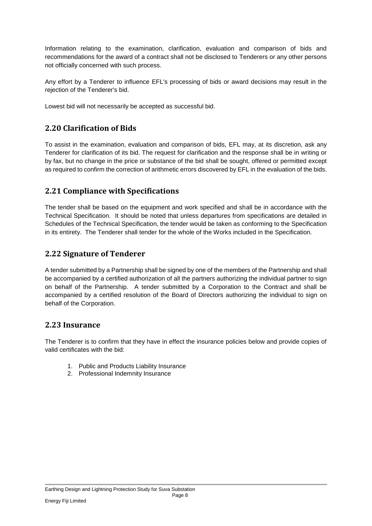Information relating to the examination, clarification, evaluation and comparison of bids and recommendations for the award of a contract shall not be disclosed to Tenderers or any other persons not officially concerned with such process.

Any effort by a Tenderer to influence EFL's processing of bids or award decisions may result in the rejection of the Tenderer's bid.

Lowest bid will not necessarily be accepted as successful bid.

#### <span id="page-7-0"></span>**2.20 Clarification of Bids**

To assist in the examination, evaluation and comparison of bids, EFL may, at its discretion, ask any Tenderer for clarification of its bid. The request for clarification and the response shall be in writing or by fax, but no change in the price or substance of the bid shall be sought, offered or permitted except as required to confirm the correction of arithmetic errors discovered by EFL in the evaluation of the bids.

#### <span id="page-7-1"></span>**2.21 Compliance with Specifications**

The tender shall be based on the equipment and work specified and shall be in accordance with the Technical Specification. It should be noted that unless departures from specifications are detailed in Schedules of the Technical Specification, the tender would be taken as conforming to the Specification in its entirety. The Tenderer shall tender for the whole of the Works included in the Specification.

#### <span id="page-7-2"></span>**2.22 Signature of Tenderer**

A tender submitted by a Partnership shall be signed by one of the members of the Partnership and shall be accompanied by a certified authorization of all the partners authorizing the individual partner to sign on behalf of the Partnership. A tender submitted by a Corporation to the Contract and shall be accompanied by a certified resolution of the Board of Directors authorizing the individual to sign on behalf of the Corporation.

#### <span id="page-7-3"></span>**2.23 Insurance**

The Tenderer is to confirm that they have in effect the insurance policies below and provide copies of valid certificates with the bid:

- 1. Public and Products Liability Insurance
- 2. Professional Indemnity Insurance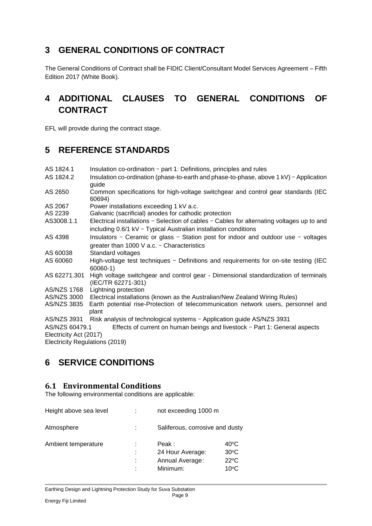### <span id="page-8-0"></span>**3 GENERAL CONDITIONS OF CONTRACT**

The General Conditions of Contract shall be FIDIC Client/Consultant Model Services Agreement – Fifth Edition 2017 (White Book).

# <span id="page-8-1"></span>**4 ADDITIONAL CLAUSES TO GENERAL CONDITIONS OF CONTRACT**

EFL will provide during the contract stage.

### <span id="page-8-2"></span>**5 REFERENCE STANDARDS**

| AS 1824.1                      | Insulation co-ordination - part 1: Definitions, principles and rules                                      |
|--------------------------------|-----------------------------------------------------------------------------------------------------------|
| AS 1824.2                      | Insulation co-ordination (phase-to-earth and phase-to-phase, above 1 kV) - Application                    |
|                                | guide                                                                                                     |
| AS 2650                        | Common specifications for high-voltage switchgear and control gear standards (IEC<br>60694)               |
| AS 2067                        | Power installations exceeding 1 kV a.c.                                                                   |
| AS 2239                        | Galvanic (sacrificial) anodes for cathodic protection                                                     |
| AS3008.1.1                     | Electrical installations - Selection of cables - Cables for alternating voltages up to and                |
|                                | including $0.6/1$ kV - Typical Australian installation conditions                                         |
| AS 4398                        | Insulators - Ceramic or glass - Station post for indoor and outdoor use - voltages                        |
|                                | greater than 1000 V a.c. - Characteristics                                                                |
| AS 60038                       | Standard voltages                                                                                         |
| AS 60060                       | High-voltage test techniques - Definitions and requirements for on-site testing (IEC                      |
|                                | $60060-1)$                                                                                                |
| AS 62271.301                   | High voltage switchgear and control gear - Dimensional standardization of terminals<br>(IEC/TR 62271-301) |
| AS/NZS 1768                    | Lightning protection                                                                                      |
| AS/NZS 3000                    | Electrical installations (known as the Australian/New Zealand Wiring Rules)                               |
| AS/NZS 3835                    | Earth potential rise-Protection of telecommunication network users, personnel and<br>plant                |
| AS/NZS 3931                    | Risk analysis of technological systems - Application guide AS/NZS 3931                                    |
| AS/NZS 60479.1                 | Effects of current on human beings and livestock - Part 1: General aspects                                |
| Electricity Act (2017)         |                                                                                                           |
| Electricity Regulations (2019) |                                                                                                           |
|                                |                                                                                                           |

### <span id="page-8-3"></span>**6 SERVICE CONDITIONS**

#### <span id="page-8-4"></span>**6.1 Environmental Conditions**

The following environmental conditions are applicable:

| Height above sea level |             | not exceeding 1000 m                                     |                                                                     |
|------------------------|-------------|----------------------------------------------------------|---------------------------------------------------------------------|
| Atmosphere             |             | Saliferous, corrosive and dusty                          |                                                                     |
| Ambient temperature    | t<br>t<br>٠ | Peak:<br>24 Hour Average:<br>Annual Average:<br>Minimum: | $40^{\circ}$ C<br>$30^{\circ}$ C<br>$22^{\circ}C$<br>$10^{\circ}$ C |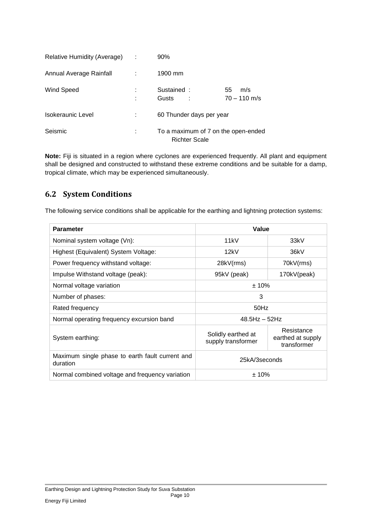| Relative Humidity (Average) | $90\%$                                                      |                             |
|-----------------------------|-------------------------------------------------------------|-----------------------------|
| Annual Average Rainfall     | 1900 mm                                                     |                             |
| <b>Wind Speed</b>           | Sustained:<br>Gusts                                         | 55<br>m/s<br>$70 - 110$ m/s |
| Isokeraunic Level           | 60 Thunder days per year                                    |                             |
| Seismic                     | To a maximum of 7 on the open-ended<br><b>Richter Scale</b> |                             |

**Note:** Fiji is situated in a region where cyclones are experienced frequently. All plant and equipment shall be designed and constructed to withstand these extreme conditions and be suitable for a damp, tropical climate, which may be experienced simultaneously.

#### <span id="page-9-0"></span>**6.2 System Conditions**

The following service conditions shall be applicable for the earthing and lightning protection systems:

| <b>Parameter</b>                                            | Value                                    |                                                |  |
|-------------------------------------------------------------|------------------------------------------|------------------------------------------------|--|
| Nominal system voltage (Vn):                                | 11kV                                     | 33kV                                           |  |
| Highest (Equivalent) System Voltage:                        | 12kV                                     | 36kV                                           |  |
| Power frequency withstand voltage:                          | 28kV(rms)                                | 70kV(rms)                                      |  |
| Impulse Withstand voltage (peak):                           | 95kV (peak)                              | 170kV(peak)                                    |  |
| Normal voltage variation                                    | ± 10%                                    |                                                |  |
| Number of phases:                                           | 3                                        |                                                |  |
| Rated frequency                                             | $50$ Hz                                  |                                                |  |
| Normal operating frequency excursion band                   | $48.5$ Hz $-52$ Hz                       |                                                |  |
| System earthing:                                            | Solidly earthed at<br>supply transformer | Resistance<br>earthed at supply<br>transformer |  |
| Maximum single phase to earth fault current and<br>duration | 25kA/3seconds                            |                                                |  |
| Normal combined voltage and frequency variation             | ±10%                                     |                                                |  |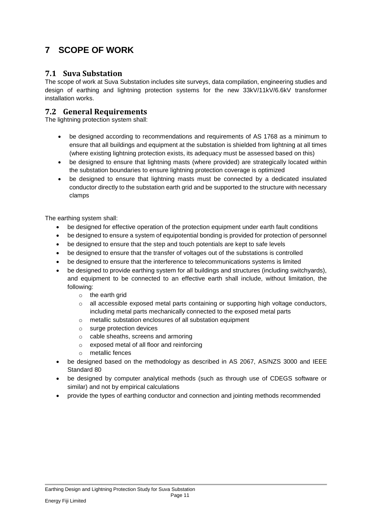# <span id="page-10-0"></span>**7 SCOPE OF WORK**

#### **7.1 Suva Substation**

The scope of work at Suva Substation includes site surveys, data compilation, engineering studies and design of earthing and lightning protection systems for the new 33kV/11kV/6.6kV transformer installation works.

#### <span id="page-10-1"></span>**7.2 General Requirements**

The lightning protection system shall:

- be designed according to recommendations and requirements of AS 1768 as a minimum to ensure that all buildings and equipment at the substation is shielded from lightning at all times (where existing lightning protection exists, its adequacy must be assessed based on this)
- be designed to ensure that lightning masts (where provided) are strategically located within the substation boundaries to ensure lightning protection coverage is optimized
- be designed to ensure that lightning masts must be connected by a dedicated insulated conductor directly to the substation earth grid and be supported to the structure with necessary clamps

The earthing system shall:

- be designed for effective operation of the protection equipment under earth fault conditions
- be designed to ensure a system of equipotential bonding is provided for protection of personnel
- be designed to ensure that the step and touch potentials are kept to safe levels
- be designed to ensure that the transfer of voltages out of the substations is controlled
- be designed to ensure that the interference to telecommunications systems is limited
- be designed to provide earthing system for all buildings and structures (including switchyards), and equipment to be connected to an effective earth shall include, without limitation, the following:
	- $\circ$  the earth grid
	- $\circ$  all accessible exposed metal parts containing or supporting high voltage conductors, including metal parts mechanically connected to the exposed metal parts
	- o metallic substation enclosures of all substation equipment
	- o surge protection devices
	- o cable sheaths, screens and armoring
	- o exposed metal of all floor and reinforcing
	- o metallic fences
- be designed based on the methodology as described in AS 2067, AS/NZS 3000 and IEEE Standard 80
- be designed by computer analytical methods (such as through use of CDEGS software or similar) and not by empirical calculations
- provide the types of earthing conductor and connection and jointing methods recommended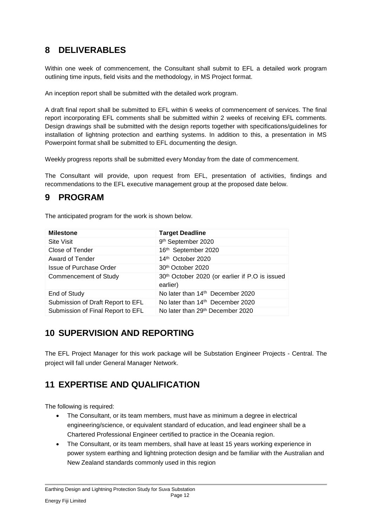# <span id="page-11-0"></span>**8 DELIVERABLES**

Within one week of commencement, the Consultant shall submit to EFL a detailed work program outlining time inputs, field visits and the methodology, in MS Project format.

An inception report shall be submitted with the detailed work program.

A draft final report shall be submitted to EFL within 6 weeks of commencement of services. The final report incorporating EFL comments shall be submitted within 2 weeks of receiving EFL comments. Design drawings shall be submitted with the design reports together with specifications/guidelines for installation of lightning protection and earthing systems. In addition to this, a presentation in MS Powerpoint format shall be submitted to EFL documenting the design.

Weekly progress reports shall be submitted every Monday from the date of commencement.

The Consultant will provide, upon request from EFL, presentation of activities, findings and recommendations to the EFL executive management group at the proposed date below.

# <span id="page-11-1"></span>**9 PROGRAM**

The anticipated program for the work is shown below.

| <b>Milestone</b>                  | <b>Target Deadline</b>                                                 |
|-----------------------------------|------------------------------------------------------------------------|
| <b>Site Visit</b>                 | 9th September 2020                                                     |
| Close of Tender                   | 16th September 2020                                                    |
| Award of Tender                   | 14th October 2020                                                      |
| <b>Issue of Purchase Order</b>    | 30 <sup>th</sup> October 2020                                          |
| Commencement of Study             | 30 <sup>th</sup> October 2020 (or earlier if P.O is issued<br>earlier) |
| End of Study                      | No later than 14 <sup>th</sup> December 2020                           |
| Submission of Draft Report to EFL | No later than $14th$ December 2020                                     |
| Submission of Final Report to EFL | No later than 29 <sup>th</sup> December 2020                           |

### <span id="page-11-2"></span>**10 SUPERVISION AND REPORTING**

The EFL Project Manager for this work package will be Substation Engineer Projects - Central. The project will fall under General Manager Network.

# <span id="page-11-3"></span>**11 EXPERTISE AND QUALIFICATION**

The following is required:

- The Consultant, or its team members, must have as minimum a degree in electrical engineering/science, or equivalent standard of education, and lead engineer shall be a Chartered Professional Engineer certified to practice in the Oceania region.
- The Consultant, or its team members, shall have at least 15 years working experience in power system earthing and lightning protection design and be familiar with the Australian and New Zealand standards commonly used in this region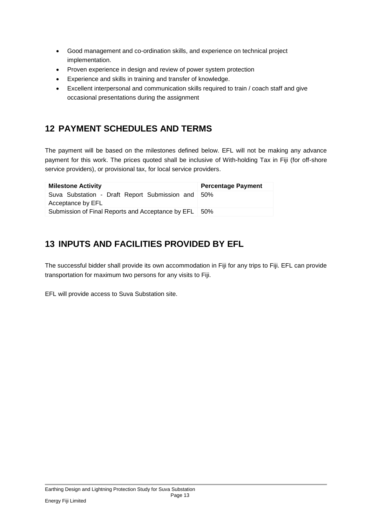- Good management and co-ordination skills, and experience on technical project implementation.
- Proven experience in design and review of power system protection
- Experience and skills in training and transfer of knowledge.
- Excellent interpersonal and communication skills required to train / coach staff and give occasional presentations during the assignment

### <span id="page-12-0"></span>**12 PAYMENT SCHEDULES AND TERMS**

The payment will be based on the milestones defined below. EFL will not be making any advance payment for this work. The prices quoted shall be inclusive of With-holding Tax in Fiji (for off-shore service providers), or provisional tax, for local service providers.

| <b>Milestone Activity</b>                                          | <b>Percentage Payment</b> |
|--------------------------------------------------------------------|---------------------------|
| Suva Substation - Draft Report Submission and<br>Acceptance by EFL | .50%                      |
| Submission of Final Reports and Acceptance by EFL                  | .50%                      |

# <span id="page-12-1"></span>**13 INPUTS AND FACILITIES PROVIDED BY EFL**

The successful bidder shall provide its own accommodation in Fiji for any trips to Fiji. EFL can provide transportation for maximum two persons for any visits to Fiji.

EFL will provide access to Suva Substation site.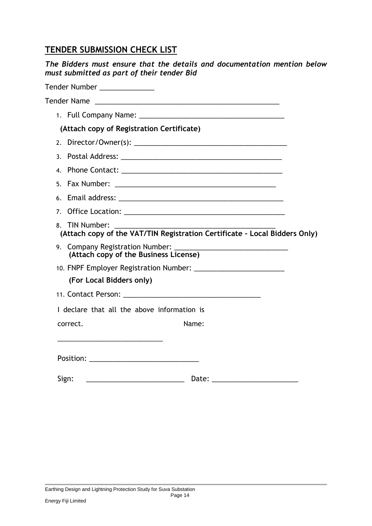### **TENDER SUBMISSION CHECK LIST**

*The Bidders must ensure that the details and documentation mention below must submitted as part of their tender Bid*

|                | Tender Number ________________                                                               |  |
|----------------|----------------------------------------------------------------------------------------------|--|
|                | Tender Name                                                                                  |  |
|                |                                                                                              |  |
|                | (Attach copy of Registration Certificate)                                                    |  |
| 2.             |                                                                                              |  |
| $\mathbf{3}$   |                                                                                              |  |
|                |                                                                                              |  |
| 5.             |                                                                                              |  |
| 6              |                                                                                              |  |
| 7 <sub>1</sub> |                                                                                              |  |
|                | 8. TIN Number:<br>(Attach copy of the VAT/TIN Registration Certificate - Local Bidders Only) |  |
|                |                                                                                              |  |
|                |                                                                                              |  |
|                | (For Local Bidders only)                                                                     |  |
|                |                                                                                              |  |
|                | I declare that all the above information is                                                  |  |
|                | Name:<br>correct.                                                                            |  |
|                |                                                                                              |  |
|                | Position: ___________________________________                                                |  |
|                | Sign:                                                                                        |  |
|                |                                                                                              |  |